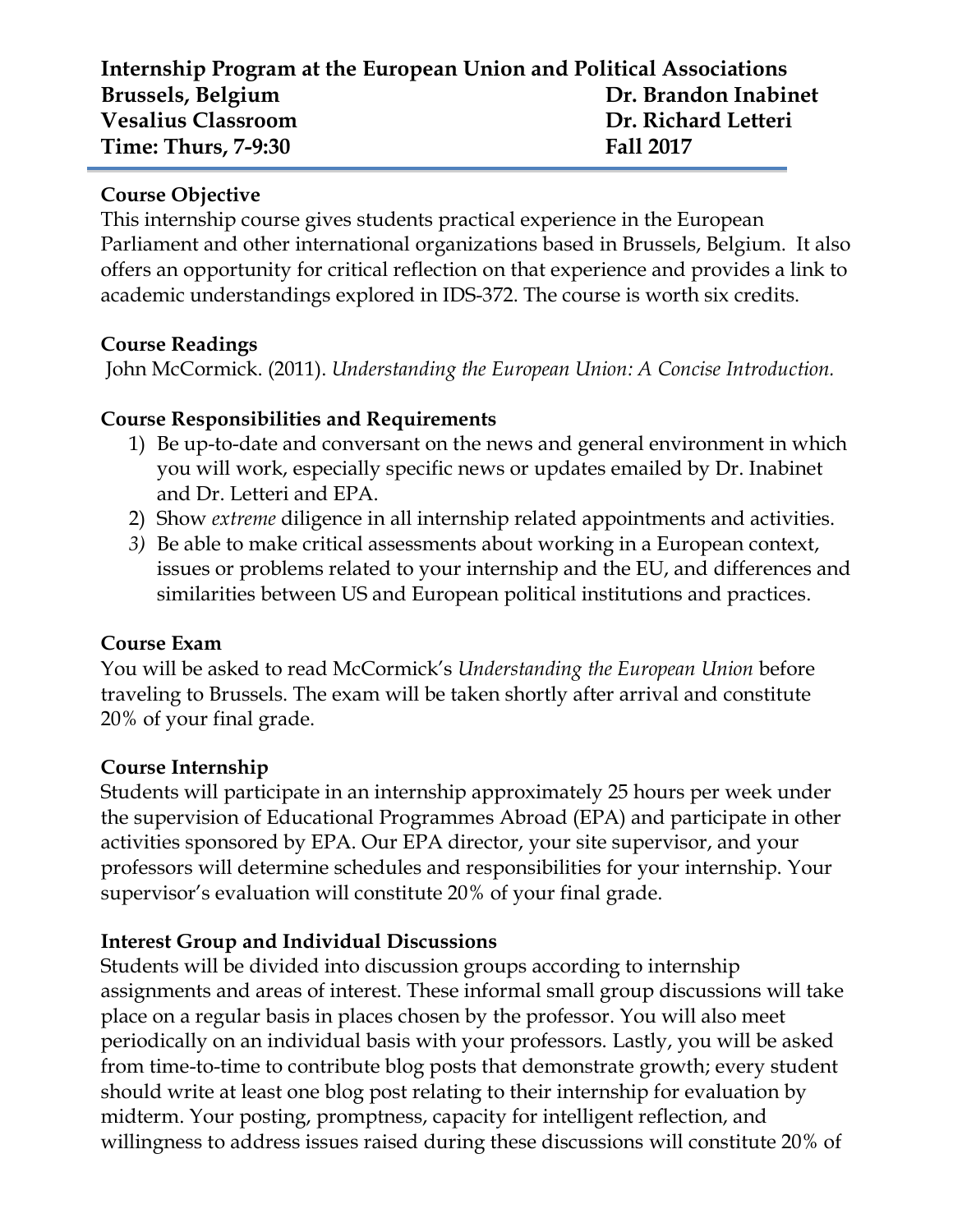# **Internship Program at the European Union and Political Associations Brussels, Belgium Dr. Brandon Inabinet Vesalius Classroom Dr. Richard Letteri Time: Thurs, 7-9:30 Fall 2017**

#### **Course Objective**

This internship course gives students practical experience in the European Parliament and other international organizations based in Brussels, Belgium. It also offers an opportunity for critical reflection on that experience and provides a link to academic understandings explored in IDS-372. The course is worth six credits.

### **Course Readings**

John McCormick. (2011). *Understanding the European Union: A Concise Introduction.*

### **Course Responsibilities and Requirements**

- 1) Be up-to-date and conversant on the news and general environment in which you will work, especially specific news or updates emailed by Dr. Inabinet and Dr. Letteri and EPA.
- 2) Show *extreme* diligence in all internship related appointments and activities.
- *3)* Be able to make critical assessments about working in a European context, issues or problems related to your internship and the EU, and differences and similarities between US and European political institutions and practices.

#### **Course Exam**

You will be asked to read McCormick's *Understanding the European Union* before traveling to Brussels. The exam will be taken shortly after arrival and constitute 20% of your final grade.

#### **Course Internship**

Students will participate in an internship approximately 25 hours per week under the supervision of Educational Programmes Abroad (EPA) and participate in other activities sponsored by EPA. Our EPA director, your site supervisor, and your professors will determine schedules and responsibilities for your internship. Your supervisor's evaluation will constitute 20% of your final grade.

## **Interest Group and Individual Discussions**

Students will be divided into discussion groups according to internship assignments and areas of interest. These informal small group discussions will take place on a regular basis in places chosen by the professor. You will also meet periodically on an individual basis with your professors. Lastly, you will be asked from time-to-time to contribute blog posts that demonstrate growth; every student should write at least one blog post relating to their internship for evaluation by midterm. Your posting, promptness, capacity for intelligent reflection, and willingness to address issues raised during these discussions will constitute 20% of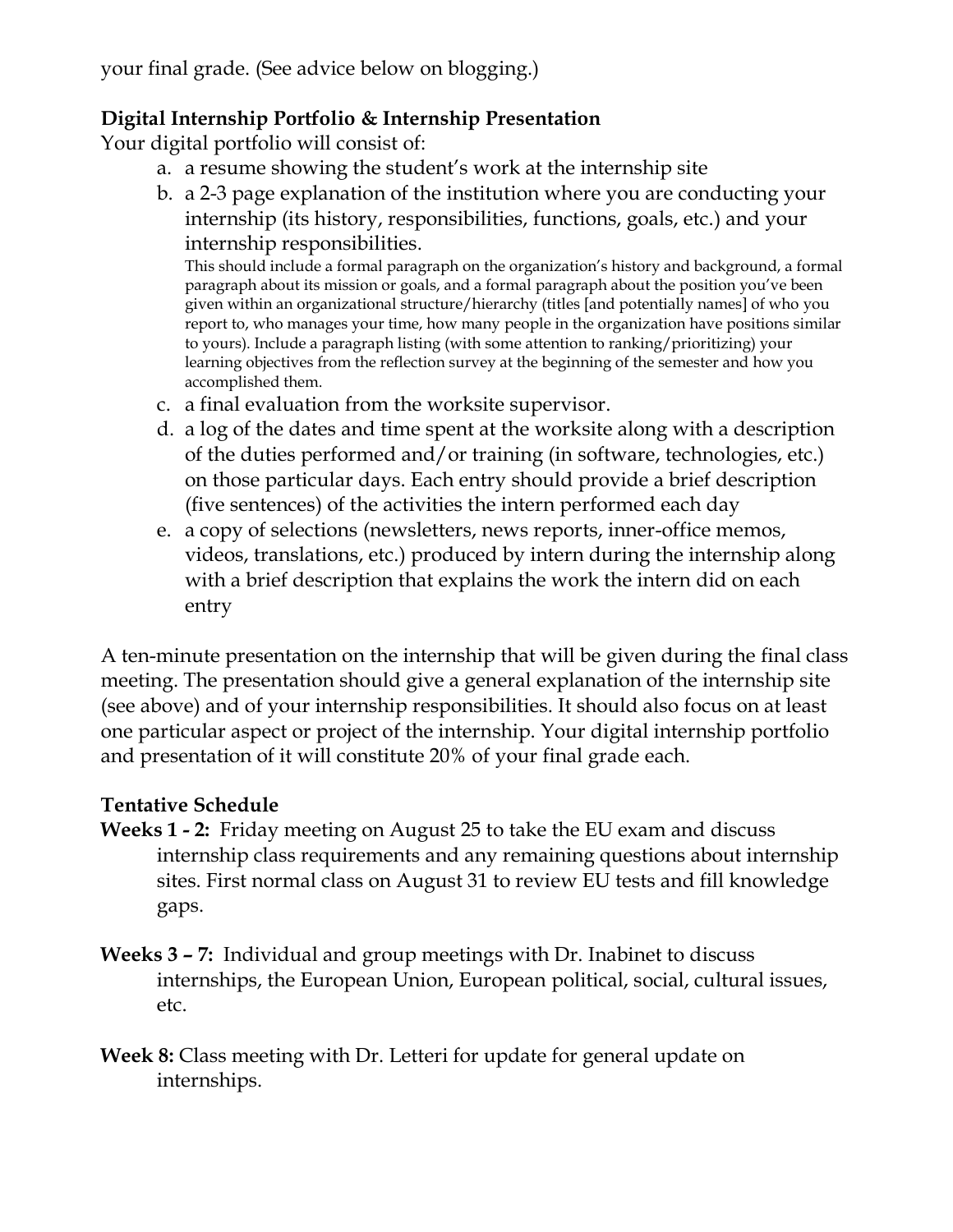your final grade. (See advice below on blogging.)

# **Digital Internship Portfolio & Internship Presentation**

Your digital portfolio will consist of:

- a. a resume showing the student's work at the internship site
- b. a 2-3 page explanation of the institution where you are conducting your internship (its history, responsibilities, functions, goals, etc.) and your internship responsibilities.

This should include a formal paragraph on the organization's history and background, a formal paragraph about its mission or goals, and a formal paragraph about the position you've been given within an organizational structure/hierarchy (titles [and potentially names] of who you report to, who manages your time, how many people in the organization have positions similar to yours). Include a paragraph listing (with some attention to ranking/prioritizing) your learning objectives from the reflection survey at the beginning of the semester and how you accomplished them.

- c. a final evaluation from the worksite supervisor.
- d. a log of the dates and time spent at the worksite along with a description of the duties performed and/or training (in software, technologies, etc.) on those particular days. Each entry should provide a brief description (five sentences) of the activities the intern performed each day
- e. a copy of selections (newsletters, news reports, inner-office memos, videos, translations, etc.) produced by intern during the internship along with a brief description that explains the work the intern did on each entry

A ten-minute presentation on the internship that will be given during the final class meeting. The presentation should give a general explanation of the internship site (see above) and of your internship responsibilities. It should also focus on at least one particular aspect or project of the internship. Your digital internship portfolio and presentation of it will constitute 20% of your final grade each.

## **Tentative Schedule**

- **Weeks 1 - 2:** Friday meeting on August 25 to take the EU exam and discuss internship class requirements and any remaining questions about internship sites. First normal class on August 31 to review EU tests and fill knowledge gaps.
- **Weeks 3 – 7:** Individual and group meetings with Dr. Inabinet to discuss internships, the European Union, European political, social, cultural issues, etc.
- **Week 8:** Class meeting with Dr. Letteri for update for general update on internships.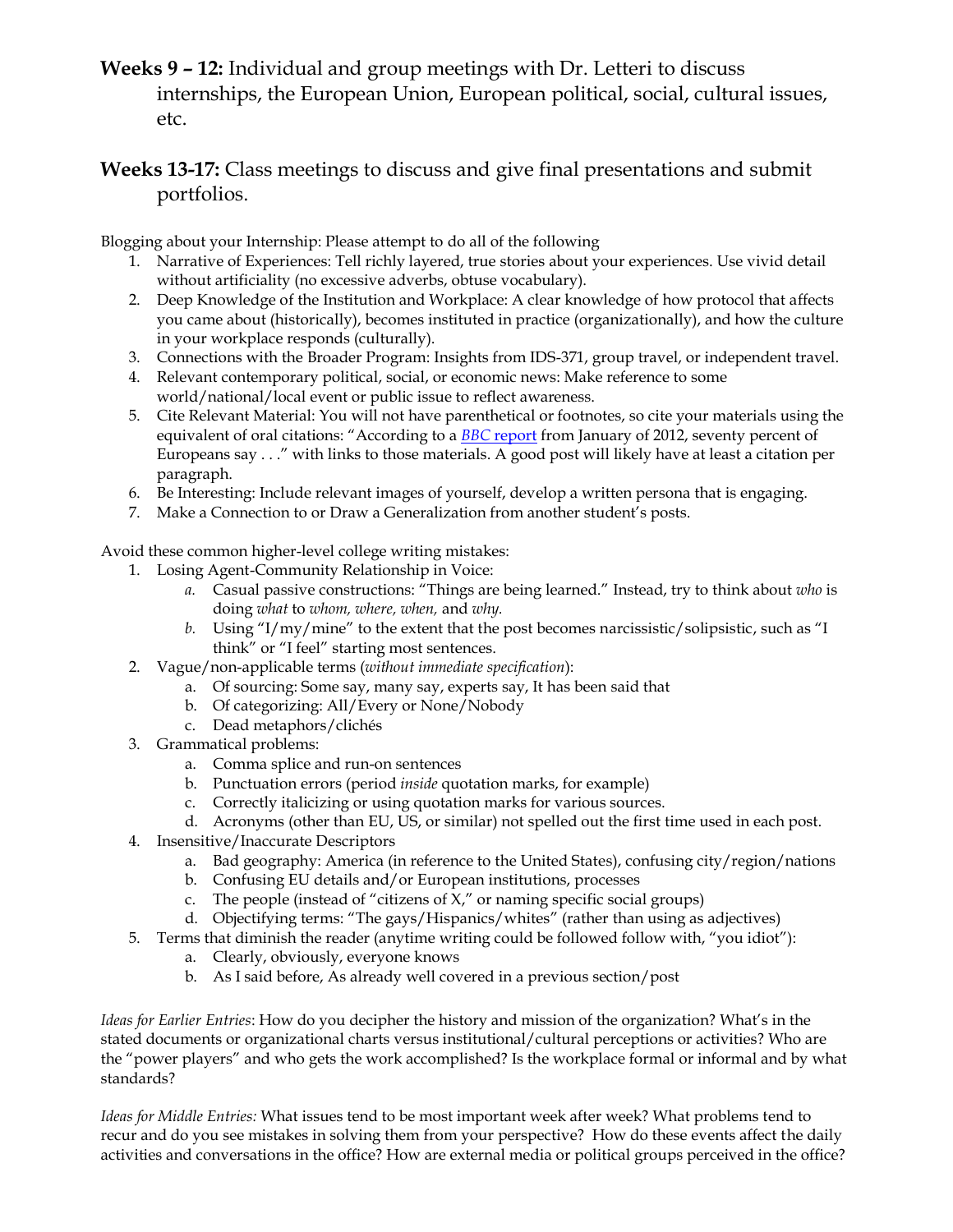**Weeks 9 – 12:** Individual and group meetings with Dr. Letteri to discuss internships, the European Union, European political, social, cultural issues, etc.

#### **Weeks 13-17:** Class meetings to discuss and give final presentations and submit portfolios.

Blogging about your Internship: Please attempt to do all of the following

- 1. Narrative of Experiences: Tell richly layered, true stories about your experiences. Use vivid detail without artificiality (no excessive adverbs, obtuse vocabulary).
- 2. Deep Knowledge of the Institution and Workplace: A clear knowledge of how protocol that affects you came about (historically), becomes instituted in practice (organizationally), and how the culture in your workplace responds (culturally).
- 3. Connections with the Broader Program: Insights from IDS-371, group travel, or independent travel.
- 4. Relevant contemporary political, social, or economic news: Make reference to some world/national/local event or public issue to reflect awareness.
- 5. Cite Relevant Material: You will not have parenthetical or footnotes, so cite your materials using the equivalent of oral citations: "According to a *BBC* report from January of 2012, seventy percent of Europeans say . . ." with links to those materials. A good post will likely have at least a citation per paragraph.
- 6. Be Interesting: Include relevant images of yourself, develop a written persona that is engaging.
- 7. Make a Connection to or Draw a Generalization from another student's posts.

Avoid these common higher-level college writing mistakes:

- 1. Losing Agent-Community Relationship in Voice:
	- *a.* Casual passive constructions: "Things are being learned." Instead, try to think about *who* is doing *what* to *whom, where, when,* and *why.*
	- *b.* Using "I/my/mine" to the extent that the post becomes narcissistic/solipsistic, such as "I think" or "I feel" starting most sentences.
- 2. Vague/non-applicable terms (*without immediate specification*):
	- a. Of sourcing: Some say, many say, experts say, It has been said that
	- b. Of categorizing: All/Every or None/Nobody
	- c. Dead metaphors/clichés
- 3. Grammatical problems:
	- a. Comma splice and run-on sentences
	- b. Punctuation errors (period *inside* quotation marks, for example)
	- c. Correctly italicizing or using quotation marks for various sources.
	- d. Acronyms (other than EU, US, or similar) not spelled out the first time used in each post.
- 4. Insensitive/Inaccurate Descriptors
	- a. Bad geography: America (in reference to the United States), confusing city/region/nations
	- b. Confusing EU details and/or European institutions, processes
	- c. The people (instead of "citizens of  $X$ ," or naming specific social groups)
	- d. Objectifying terms: "The gays/Hispanics/whites" (rather than using as adjectives)
- 5. Terms that diminish the reader (anytime writing could be followed follow with, "you idiot"):
	- a. Clearly, obviously, everyone knows
	- b. As I said before, As already well covered in a previous section/post

*Ideas for Earlier Entries*: How do you decipher the history and mission of the organization? What's in the stated documents or organizational charts versus institutional/cultural perceptions or activities? Who are the "power players" and who gets the work accomplished? Is the workplace formal or informal and by what standards?

*Ideas for Middle Entries:* What issues tend to be most important week after week? What problems tend to recur and do you see mistakes in solving them from your perspective? How do these events affect the daily activities and conversations in the office? How are external media or political groups perceived in the office?